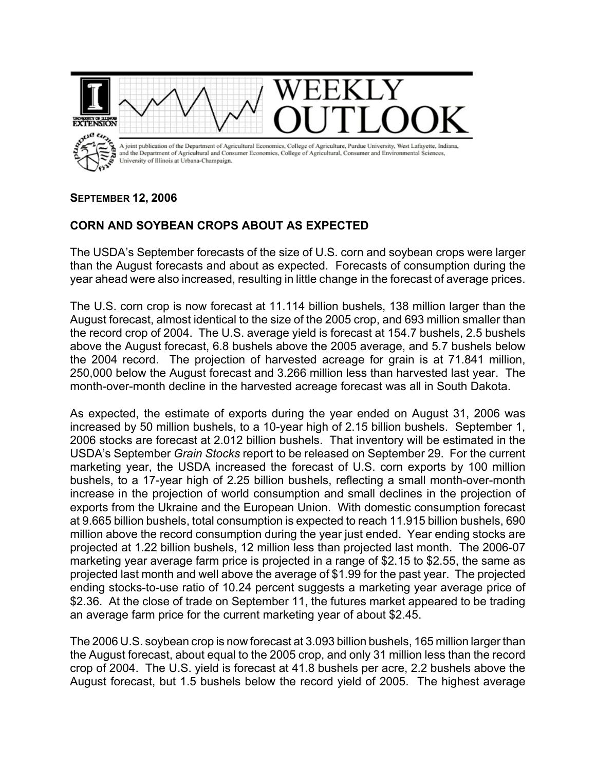

## **SEPTEMBER 12, 2006**

## **CORN AND SOYBEAN CROPS ABOUT AS EXPECTED**

The USDA's September forecasts of the size of U.S. corn and soybean crops were larger than the August forecasts and about as expected. Forecasts of consumption during the year ahead were also increased, resulting in little change in the forecast of average prices.

The U.S. corn crop is now forecast at 11.114 billion bushels, 138 million larger than the August forecast, almost identical to the size of the 2005 crop, and 693 million smaller than the record crop of 2004. The U.S. average yield is forecast at 154.7 bushels, 2.5 bushels above the August forecast, 6.8 bushels above the 2005 average, and 5.7 bushels below the 2004 record. The projection of harvested acreage for grain is at 71.841 million, 250,000 below the August forecast and 3.266 million less than harvested last year. The month-over-month decline in the harvested acreage forecast was all in South Dakota.

As expected, the estimate of exports during the year ended on August 31, 2006 was increased by 50 million bushels, to a 10-year high of 2.15 billion bushels. September 1, 2006 stocks are forecast at 2.012 billion bushels. That inventory will be estimated in the USDA's September *Grain Stocks* report to be released on September 29. For the current marketing year, the USDA increased the forecast of U.S. corn exports by 100 million bushels, to a 17-year high of 2.25 billion bushels, reflecting a small month-over-month increase in the projection of world consumption and small declines in the projection of exports from the Ukraine and the European Union. With domestic consumption forecast at 9.665 billion bushels, total consumption is expected to reach 11.915 billion bushels, 690 million above the record consumption during the year just ended. Year ending stocks are projected at 1.22 billion bushels, 12 million less than projected last month. The 2006-07 marketing year average farm price is projected in a range of \$2.15 to \$2.55, the same as projected last month and well above the average of \$1.99 for the past year. The projected ending stocks-to-use ratio of 10.24 percent suggests a marketing year average price of \$2.36. At the close of trade on September 11, the futures market appeared to be trading an average farm price for the current marketing year of about \$2.45.

The 2006 U.S. soybean crop is now forecast at 3.093 billion bushels, 165 million larger than the August forecast, about equal to the 2005 crop, and only 31 million less than the record crop of 2004. The U.S. yield is forecast at 41.8 bushels per acre, 2.2 bushels above the August forecast, but 1.5 bushels below the record yield of 2005. The highest average